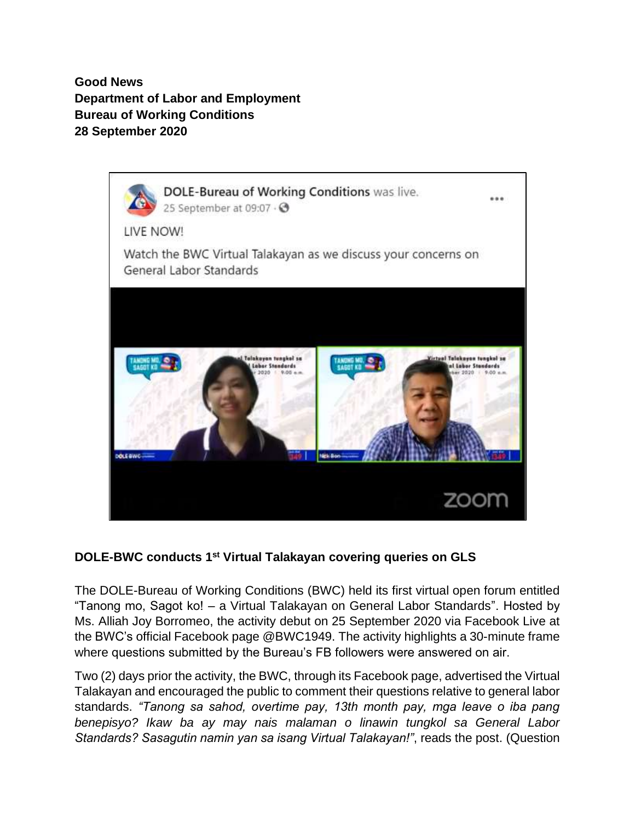**Good News Department of Labor and Employment Bureau of Working Conditions 28 September 2020**



## **DOLE-BWC conducts 1st Virtual Talakayan covering queries on GLS**

The DOLE-Bureau of Working Conditions (BWC) held its first virtual open forum entitled "Tanong mo, Sagot ko! – a Virtual Talakayan on General Labor Standards". Hosted by Ms. Alliah Joy Borromeo, the activity debut on 25 September 2020 via Facebook Live at the BWC's official Facebook page @BWC1949. The activity highlights a 30-minute frame where questions submitted by the Bureau's FB followers were answered on air.

Two (2) days prior the activity, the BWC, through its Facebook page, advertised the Virtual Talakayan and encouraged the public to comment their questions relative to general labor standards. *"Tanong sa sahod, overtime pay, 13th month pay, mga leave o iba pang benepisyo? Ikaw ba ay may nais malaman o linawin tungkol sa General Labor Standards? Sasagutin namin yan sa isang Virtual Talakayan!"*, reads the post. (Question